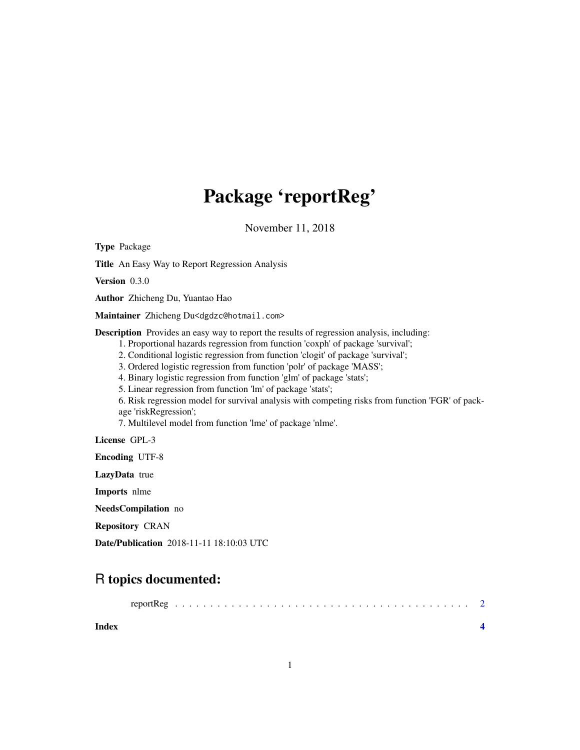## Package 'reportReg'

November 11, 2018

Type Package

Title An Easy Way to Report Regression Analysis

Version 0.3.0

Author Zhicheng Du, Yuantao Hao

Maintainer Zhicheng Du<dgdzc@hotmail.com>

Description Provides an easy way to report the results of regression analysis, including:

1. Proportional hazards regression from function 'coxph' of package 'survival';

2. Conditional logistic regression from function 'clogit' of package 'survival';

3. Ordered logistic regression from function 'polr' of package 'MASS';

4. Binary logistic regression from function 'glm' of package 'stats';

5. Linear regression from function 'lm' of package 'stats';

6. Risk regression model for survival analysis with competing risks from function 'FGR' of package 'riskRegression';

7. Multilevel model from function 'lme' of package 'nlme'.

License GPL-3

Encoding UTF-8

LazyData true

Imports nlme

NeedsCompilation no

Repository CRAN

Date/Publication 2018-11-11 18:10:03 UTC

## R topics documented:

| reportReg |  |
|-----------|--|
|-----------|--|

**Index** [4](#page-3-0)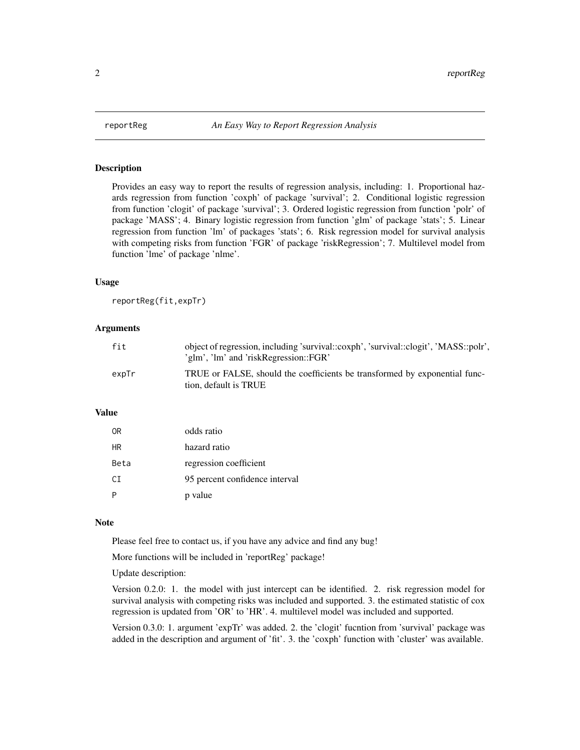<span id="page-1-0"></span>

#### **Description**

Provides an easy way to report the results of regression analysis, including: 1. Proportional hazards regression from function 'coxph' of package 'survival'; 2. Conditional logistic regression from function 'clogit' of package 'survival'; 3. Ordered logistic regression from function 'polr' of package 'MASS'; 4. Binary logistic regression from function 'glm' of package 'stats'; 5. Linear regression from function 'lm' of packages 'stats'; 6. Risk regression model for survival analysis with competing risks from function 'FGR' of package 'riskRegression'; 7. Multilevel model from function 'lme' of package 'nlme'.

#### Usage

reportReg(fit,expTr)

#### Arguments

| fit   | object of regression, including 'survival::coxph', 'survival::clogit', 'MASS::polr',<br>'glm', 'lm' and 'riskRegression::FGR' |
|-------|-------------------------------------------------------------------------------------------------------------------------------|
| expTr | TRUE or FALSE, should the coefficients be transformed by exponential func-<br>tion, default is TRUE                           |

#### Value

| 0R   | odds ratio                     |
|------|--------------------------------|
| ΗR   | hazard ratio                   |
| Beta | regression coefficient         |
| CT.  | 95 percent confidence interval |
|      | p value                        |

#### **Note**

Please feel free to contact us, if you have any advice and find any bug!

More functions will be included in 'reportReg' package!

Update description:

Version 0.2.0: 1. the model with just intercept can be identified. 2. risk regression model for survival analysis with competing risks was included and supported. 3. the estimated statistic of cox regression is updated from 'OR' to 'HR'. 4. multilevel model was included and supported.

Version 0.3.0: 1. argument 'expTr' was added. 2. the 'clogit' fucntion from 'survival' package was added in the description and argument of 'fit'. 3. the 'coxph' function with 'cluster' was available.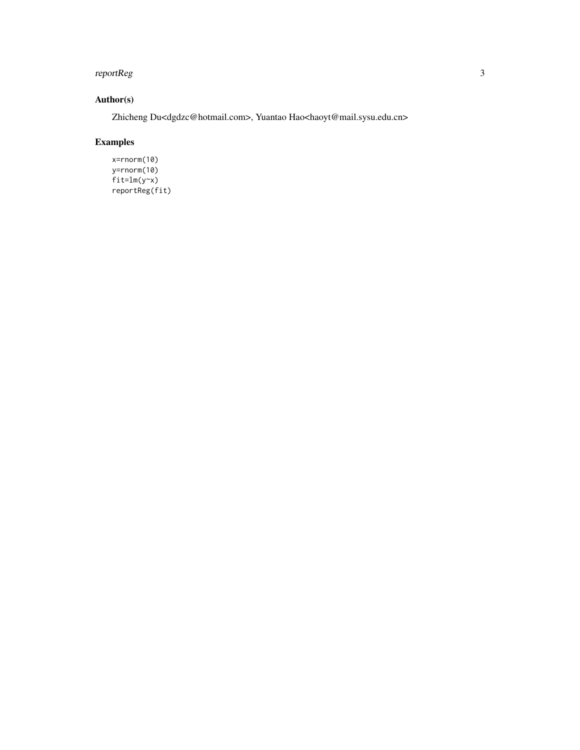#### reportReg 30 and 200 minutes and 200 minutes and 200 minutes and 200 minutes and 30 minutes and 30 minutes and 30  $\pm$

#### Author(s)

Zhicheng Du<dgdzc@hotmail.com>, Yuantao Hao<haoyt@mail.sysu.edu.cn>

### Examples

x=rnorm(10) y=rnorm(10)  $fit=lm(y-x)$ reportReg(fit)